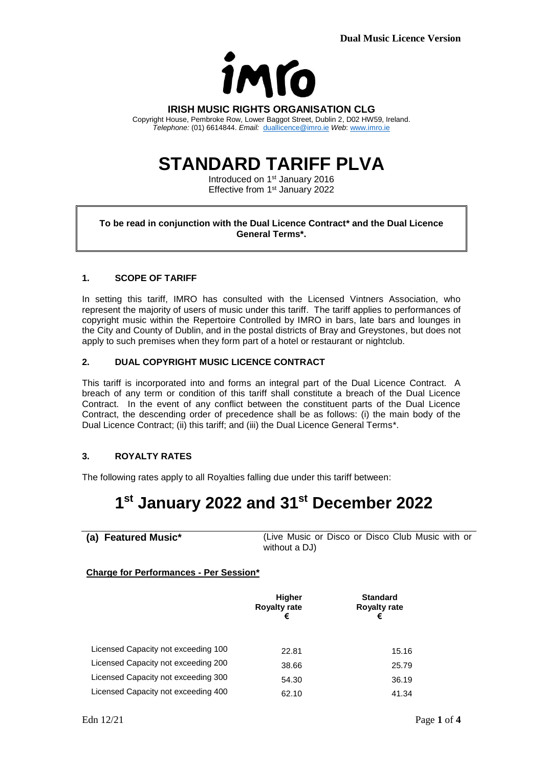

**IRISH MUSIC RIGHTS ORGANISATION CLG**

Copyright House, Pembroke Row, Lower Baggot Street, Dublin 2, D02 HW59, Ireland. *Telephone:* (01) 6614844. *Email:* [duallicence@imro.ie](mailto:duallicence@imro.ie) *Web*: [www.imro.ie](http://www.imro.ie/)

# **STANDARD TARIFF PLVA**

Introduced on 1<sup>st</sup> January 2016 Effective from 1<sup>st</sup> January 2022

# **To be read in conjunction with the Dual Licence Contract\* and the Dual Licence General Terms\*.**

# **1. SCOPE OF TARIFF**

In setting this tariff, IMRO has consulted with the Licensed Vintners Association, who represent the majority of users of music under this tariff. The tariff applies to performances of copyright music within the Repertoire Controlled by IMRO in bars, late bars and lounges in the City and County of Dublin, and in the postal districts of Bray and Greystones, but does not apply to such premises when they form part of a hotel or restaurant or nightclub.

# **2. DUAL COPYRIGHT MUSIC LICENCE CONTRACT**

This tariff is incorporated into and forms an integral part of the Dual Licence Contract. A breach of any term or condition of this tariff shall constitute a breach of the Dual Licence Contract. In the event of any conflict between the constituent parts of the Dual Licence Contract, the descending order of precedence shall be as follows: (i) the main body of the Dual Licence Contract; (ii) this tariff; and (iii) the Dual Licence General Terms\*.

# **3. ROYALTY RATES**

The following rates apply to all Royalties falling due under this tariff between:

# **1 st January 2022 and 31st December 2022**

**(a) Featured Music\*** (Live Music or Disco or Disco Club Music with or without a DJ)

# **Charge for Performances - Per Session\***

|                                     | Higher<br><b>Royalty rate</b><br>€ | <b>Standard</b><br><b>Royalty rate</b><br>€ |
|-------------------------------------|------------------------------------|---------------------------------------------|
| Licensed Capacity not exceeding 100 | 22.81                              | 15.16                                       |
| Licensed Capacity not exceeding 200 | 38.66                              | 25.79                                       |
| Licensed Capacity not exceeding 300 | 54.30                              | 36.19                                       |
| Licensed Capacity not exceeding 400 | 62.10                              | 41.34                                       |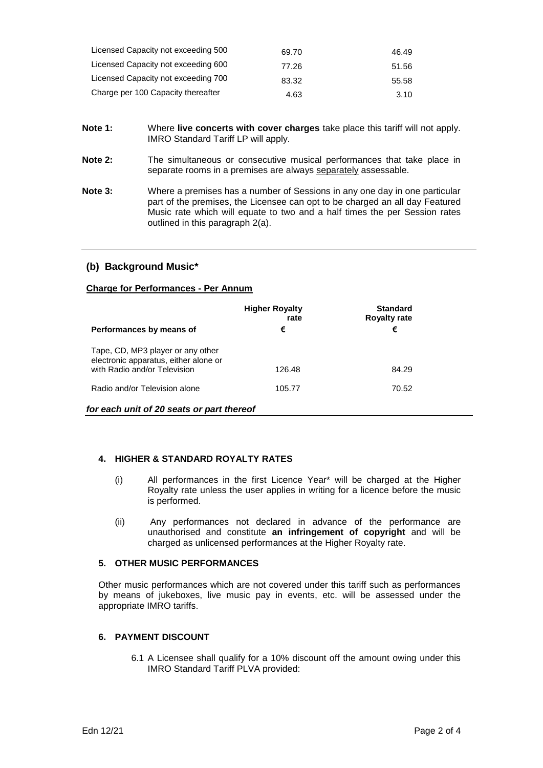| Licensed Capacity not exceeding 500 | 69.70 | 46.49 |
|-------------------------------------|-------|-------|
| Licensed Capacity not exceeding 600 | 77.26 | 51.56 |
| Licensed Capacity not exceeding 700 | 83.32 | 55.58 |
| Charge per 100 Capacity thereafter  | 4.63  | 3.10  |

- **Note 1:** Where **live concerts with cover charges** take place this tariff will not apply. IMRO Standard Tariff LP will apply.
- **Note 2:** The simultaneous or consecutive musical performances that take place in separate rooms in a premises are always separately assessable.
- **Note 3:** Where a premises has a number of Sessions in any one day in one particular part of the premises, the Licensee can opt to be charged an all day Featured Music rate which will equate to two and a half times the per Session rates outlined in this paragraph 2(a).

#### **(b) Background Music\***

#### **Charge for Performances - Per Annum**

|                                                                                                            | <b>Higher Royalty</b><br>rate | <b>Standard</b><br><b>Royalty rate</b> |
|------------------------------------------------------------------------------------------------------------|-------------------------------|----------------------------------------|
| Performances by means of                                                                                   | €                             | €                                      |
| Tape, CD, MP3 player or any other<br>electronic apparatus, either alone or<br>with Radio and/or Television | 126.48                        | 84.29                                  |
| Radio and/or Television alone                                                                              | 105.77                        | 70.52                                  |
| for each unit of 20 seats or part thereof                                                                  |                               |                                        |

# **4. HIGHER & STANDARD ROYALTY RATES**

- (i) All performances in the first Licence Year\* will be charged at the Higher Royalty rate unless the user applies in writing for a licence before the music is performed.
- (ii) Any performances not declared in advance of the performance are unauthorised and constitute **an infringement of copyright** and will be charged as unlicensed performances at the Higher Royalty rate.

#### **5. OTHER MUSIC PERFORMANCES**

Other music performances which are not covered under this tariff such as performances by means of jukeboxes, live music pay in events, etc. will be assessed under the appropriate IMRO tariffs.

#### **6. PAYMENT DISCOUNT**

6.1 A Licensee shall qualify for a 10% discount off the amount owing under this IMRO Standard Tariff PLVA provided: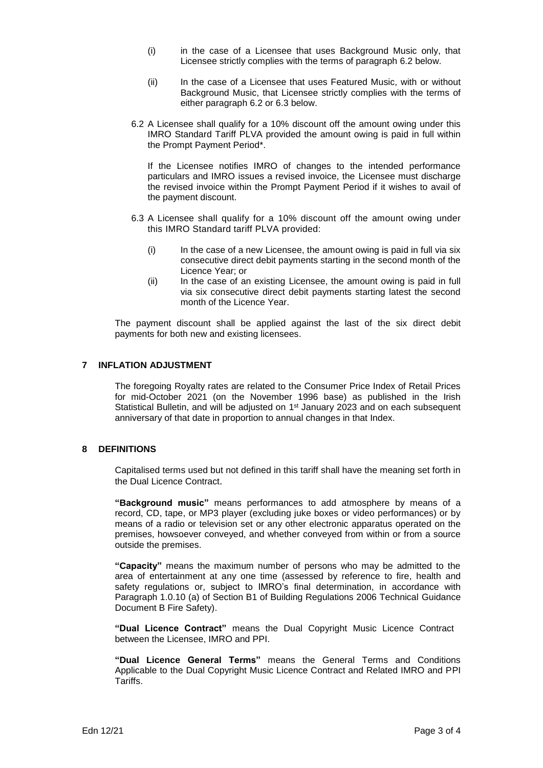- (i) in the case of a Licensee that uses Background Music only, that Licensee strictly complies with the terms of paragraph 6.2 below.
- (ii) In the case of a Licensee that uses Featured Music, with or without Background Music, that Licensee strictly complies with the terms of either paragraph 6.2 or 6.3 below.
- 6.2 A Licensee shall qualify for a 10% discount off the amount owing under this IMRO Standard Tariff PLVA provided the amount owing is paid in full within the Prompt Payment Period\*.

If the Licensee notifies IMRO of changes to the intended performance particulars and IMRO issues a revised invoice, the Licensee must discharge the revised invoice within the Prompt Payment Period if it wishes to avail of the payment discount.

- 6.3 A Licensee shall qualify for a 10% discount off the amount owing under this IMRO Standard tariff PLVA provided:
	- (i) In the case of a new Licensee, the amount owing is paid in full via six consecutive direct debit payments starting in the second month of the Licence Year; or
	- (ii) In the case of an existing Licensee, the amount owing is paid in full via six consecutive direct debit payments starting latest the second month of the Licence Year.

The payment discount shall be applied against the last of the six direct debit payments for both new and existing licensees.

#### **7 INFLATION ADJUSTMENT**

The foregoing Royalty rates are related to the Consumer Price Index of Retail Prices for mid-October 2021 (on the November 1996 base) as published in the Irish Statistical Bulletin, and will be adjusted on  $1<sup>st</sup>$  January 2023 and on each subsequent anniversary of that date in proportion to annual changes in that Index.

#### **8 DEFINITIONS**

Capitalised terms used but not defined in this tariff shall have the meaning set forth in the Dual Licence Contract.

**"Background music"** means performances to add atmosphere by means of a record, CD, tape, or MP3 player (excluding juke boxes or video performances) or by means of a radio or television set or any other electronic apparatus operated on the premises, howsoever conveyed, and whether conveyed from within or from a source outside the premises.

**"Capacity"** means the maximum number of persons who may be admitted to the area of entertainment at any one time (assessed by reference to fire, health and safety regulations or, subject to IMRO's final determination, in accordance with Paragraph 1.0.10 (a) of Section B1 of Building Regulations 2006 Technical Guidance Document B Fire Safety).

**"Dual Licence Contract"** means the Dual Copyright Music Licence Contract between the Licensee, IMRO and PPI.

**"Dual Licence General Terms"** means the General Terms and Conditions Applicable to the Dual Copyright Music Licence Contract and Related IMRO and PPI Tariffs.